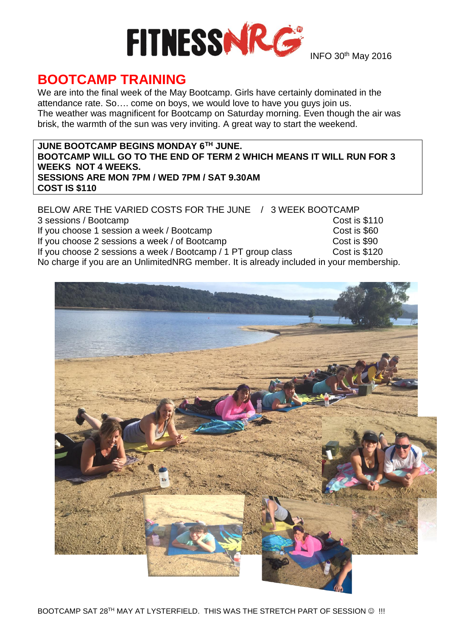

INFO 30<sup>th</sup> May 2016

## **BOOTCAMP TRAINING**

We are into the final week of the May Bootcamp. Girls have certainly dominated in the attendance rate. So…. come on boys, we would love to have you guys join us. The weather was magnificent for Bootcamp on Saturday morning. Even though the air was brisk, the warmth of the sun was very inviting. A great way to start the weekend.

#### **JUNE BOOTCAMP BEGINS MONDAY 6TH JUNE. BOOTCAMP WILL GO TO THE END OF TERM 2 WHICH MEANS IT WILL RUN FOR 3 WEEKS NOT 4 WEEKS. SESSIONS ARE MON 7PM / WED 7PM / SAT 9.30AM COST IS \$110**

BELOW ARE THE VARIED COSTS FOR THE JUNE / 3 WEEK BOOTCAMP 3 sessions / Bootcamp<br>
If you choose 1 session a week / Bootcamp<br>
If you choose 1 session a week / Bootcamp If you choose 1 session a week / Bootcamp If you choose 2 sessions a week / of Bootcamp Cost is \$90 If you choose 2 sessions a week / Bootcamp / 1 PT group class Cost is \$120 No charge if you are an UnlimitedNRG member. It is already included in your membership.

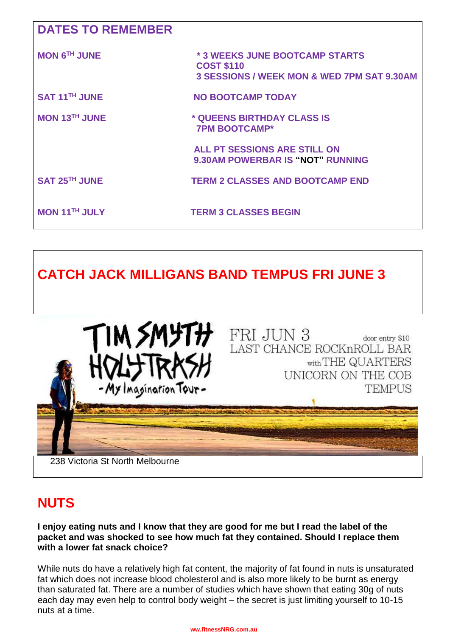| <b>DATES TO REMEMBER</b>  |                                                                                                              |
|---------------------------|--------------------------------------------------------------------------------------------------------------|
| <b>MON 6TH JUNE</b>       | * 3 WEEKS JUNE BOOTCAMP STARTS<br><b>COST \$110</b><br><b>3 SESSIONS / WEEK MON &amp; WED 7PM SAT 9.30AM</b> |
| SAT 11 <sup>TH</sup> JUNE | <b>NO BOOTCAMP TODAY</b>                                                                                     |
| <b>MON 13TH JUNE</b>      | * QUEENS BIRTHDAY CLASS IS<br><b>7PM BOOTCAMP*</b>                                                           |
|                           | <b>ALL PT SESSIONS ARE STILL ON</b><br><b>9.30AM POWERBAR IS "NOT" RUNNING</b>                               |
| SAT 25TH JUNE             | <b>TERM 2 CLASSES AND BOOTCAMP END</b>                                                                       |
| <b>MON 11TH JULY</b>      | <b>TERM 3 CLASSES BEGIN</b>                                                                                  |

# **CATCH JACK MILLIGANS BAND TEMPUS FRI JUNE 3**



### **NUTS**

#### **I enjoy eating nuts and I know that they are good for me but I read the label of the packet and was shocked to see how much fat they contained. Should I replace them with a lower fat snack choice?**

While nuts do have a relatively high fat content, the majority of fat found in nuts is unsaturated fat which does not increase blood cholesterol and is also more likely to be burnt as energy than saturated fat. There are a number of studies which have shown that eating 30g of nuts each day may even help to control body weight – the secret is just limiting yourself to 10-15 nuts at a time.